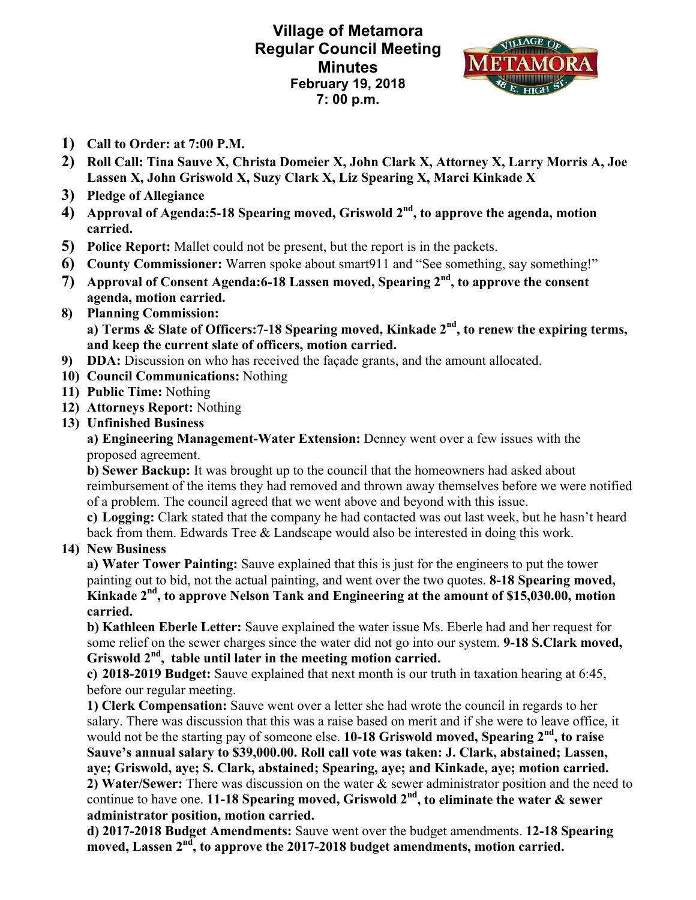**Village of Metamora Regular Council Meeting Minutes February 19, 2018 7: 00 p.m.** 



- **1) Call to Order: at 7:00 P.M.**
- **2) Roll Call: Tina Sauve X, Christa Domeier X, John Clark X, Attorney X, Larry Morris A, Joe Lassen X, John Griswold X, Suzy Clark X, Liz Spearing X, Marci Kinkade X**
- **3) Pledge of Allegiance**
- **4) Approval of Agenda:5-18 Spearing moved, Griswold 2nd, to approve the agenda, motion carried.**
- **5) Police Report:** Mallet could not be present, but the report is in the packets.
- **6) County Commissioner:** Warren spoke about smart911 and "See something, say something!"
- **7) Approval of Consent Agenda:6-18 Lassen moved, Spearing 2nd, to approve the consent agenda, motion carried.**
- **8) Planning Commission: a) Terms & Slate of Officers:7-18 Spearing moved, Kinkade 2nd, to renew the expiring terms, and keep the current slate of officers, motion carried.**
- **9) DDA:** Discussion on who has received the façade grants, and the amount allocated.
- **10) Council Communications:** Nothing
- **11) Public Time:** Nothing
- **12) Attorneys Report:** Nothing
- **13) Unfinished Business**

**a) Engineering Management-Water Extension:** Denney went over a few issues with the proposed agreement.

**b) Sewer Backup:** It was brought up to the council that the homeowners had asked about reimbursement of the items they had removed and thrown away themselves before we were notified of a problem. The council agreed that we went above and beyond with this issue.

**c) Logging:** Clark stated that the company he had contacted was out last week, but he hasn't heard back from them. Edwards Tree & Landscape would also be interested in doing this work.

## **14) New Business**

**a) Water Tower Painting:** Sauve explained that this is just for the engineers to put the tower painting out to bid, not the actual painting, and went over the two quotes. **8-18 Spearing moved, Kinkade 2nd, to approve Nelson Tank and Engineering at the amount of \$15,030.00, motion carried.** 

**b) Kathleen Eberle Letter:** Sauve explained the water issue Ms. Eberle had and her request for some relief on the sewer charges since the water did not go into our system. **9-18 S.Clark moved, Griswold 2nd, table until later in the meeting motion carried.** 

**c) 2018-2019 Budget:** Sauve explained that next month is our truth in taxation hearing at 6:45, before our regular meeting.

**1) Clerk Compensation:** Sauve went over a letter she had wrote the council in regards to her salary. There was discussion that this was a raise based on merit and if she were to leave office, it would not be the starting pay of someone else. **10-18 Griswold moved, Spearing 2nd, to raise Sauve's annual salary to \$39,000.00. Roll call vote was taken: J. Clark, abstained; Lassen, aye; Griswold, aye; S. Clark, abstained; Spearing, aye; and Kinkade, aye; motion carried. 2) Water/Sewer:** There was discussion on the water & sewer administrator position and the need to continue to have one. **11-18 Spearing moved, Griswold 2nd, to eliminate the water & sewer administrator position, motion carried.** 

**d) 2017-2018 Budget Amendments:** Sauve went over the budget amendments. **12-18 Spearing**  moved, Lassen 2<sup>nd</sup>, to approve the 2017-2018 budget amendments, motion carried.